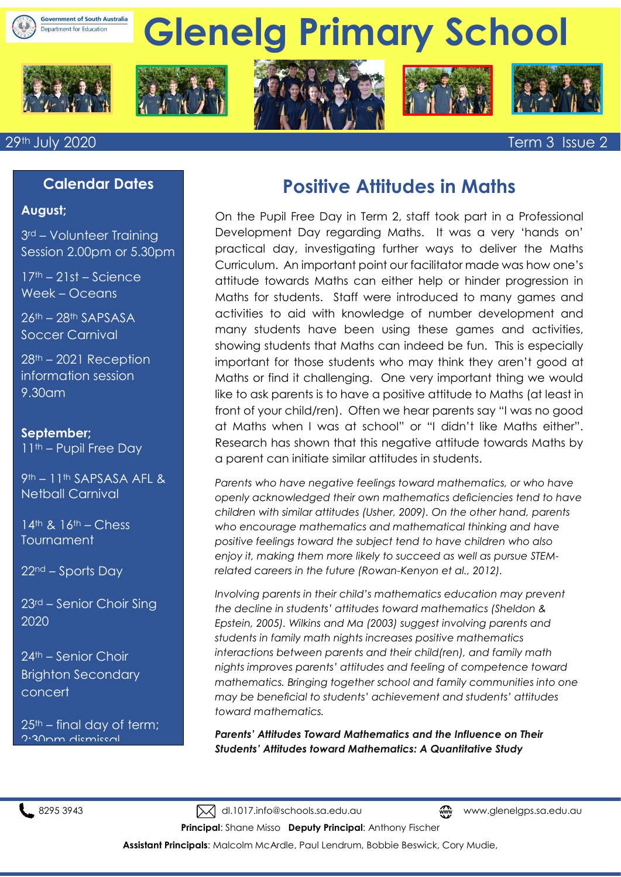

#### 29th July 2020 Term 3 Issue 2

**August;**

9.30am

**September;**

**Calendar Dates**

3rd – Volunteer Training Session 2.00pm or 5.30pm

17th – 21st – Science Week – Oceans

26th – 28th SAPSASA Soccer Carnival

28th – 2021 Reception information session

11th – Pupil Free Day

Netball Carnival

14th & 16th – Chess

 $22<sup>nd</sup> - Sports Day$ 

24th – Senior Choir Brighton Secondary

2:30pm dismissal

23rd – Senior Choir Sing

 $25<sup>th</sup>$  – final dav of term;

Tournament

2020

concert

9th – 11th SAPSASA AFL &

#### **Positive Attitudes in Maths**

On the Pupil Free Day in Term 2, staff took part in a Professional Development Day regarding Maths. It was a very 'hands on' practical day, investigating further ways to deliver the Maths Curriculum. An important point our facilitator made was how one's attitude towards Maths can either help or hinder progression in Maths for students. Staff were introduced to many games and activities to aid with knowledge of number development and many students have been using these games and activities, showing students that Maths can indeed be fun. This is especially important for those students who may think they aren't good at Maths or find it challenging. One very important thing we would like to ask parents is to have a positive attitude to Maths (at least in front of your child/ren). Often we hear parents say "I was no good at Maths when I was at school" or "I didn't like Maths either". Research has shown that this negative attitude towards Maths by a parent can initiate similar attitudes in students.

*Parents who have negative feelings toward mathematics, or who have openly acknowledged their own mathematics deficiencies tend to have children with similar attitudes (Usher, 2009). On the other hand, parents who encourage mathematics and mathematical thinking and have positive feelings toward the subject tend to have children who also enjoy it, making them more likely to succeed as well as pursue STEMrelated careers in the future (Rowan-Kenyon et al., 2012).*

*Involving parents in their child's mathematics education may prevent the decline in students' attitudes toward mathematics (Sheldon & Epstein, 2005). Wilkins and Ma (2003) suggest involving parents and students in family math nights increases positive mathematics interactions between parents and their child(ren), and family math nights improves parents' attitudes and feeling of competence toward mathematics. Bringing together school and family communities into one may be beneficial to students' achievement and students' attitudes toward mathematics.*

*Parents' Attitudes Toward Mathematics and the Influence on Their Students' Attitudes toward Mathematics: A Quantitative Study*

8295 3943 Mdl.1017.info@schools.sa.edu.au www.glenelgps.sa.edu.au

**Principal**: Shane Misso **Deputy Principal**: Anthony Fischer

**Assistant Principals**: Malcolm McArdle, Paul Lendrum, Bobbie Beswick, Cory Mudie,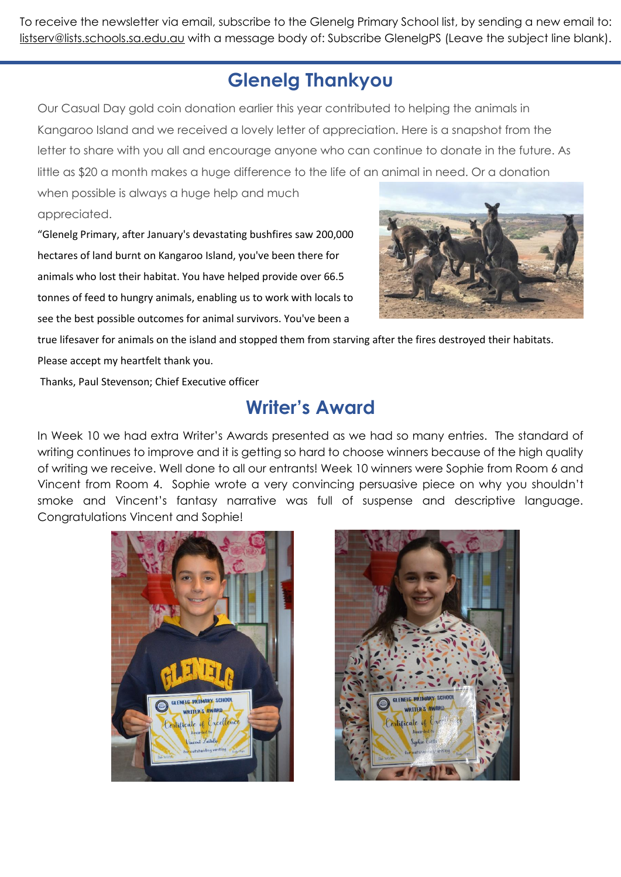To receive the newsletter via email, subscribe to the Glenelg Primary School list, by sending a new email to: [listserv@lists.schools.sa.edu.au](mailto:listserv@lists.schools.sa.edu.au) with a message body of: Subscribe GlenelgPS (Leave the subject line blank).

## **Glenelg Thankyou**

Our Casual Day gold coin donation earlier this year contributed to helping the animals in Kangaroo Island and we received a lovely letter of appreciation. Here is a snapshot from the letter to share with you all and encourage anyone who can continue to donate in the future. As little as \$20 a month makes a huge difference to the life of an animal in need. Or a donation

when possible is always a huge help and much appreciated.

"Glenelg Primary, after January's devastating bushfires saw 200,000 hectares of land burnt on Kangaroo Island, you've been there for animals who lost their habitat. You have helped provide over 66.5 tonnes of feed to hungry animals, enabling us to work with locals to see the best possible outcomes for animal survivors. You've been a



true lifesaver for animals on the island and stopped them from starving after the fires destroyed their habitats. Please accept my heartfelt thank you.

Thanks, Paul Stevenson; Chief Executive officer

#### **Writer's Award**

In Week 10 we had extra Writer's Awards presented as we had so many entries. The standard of writing continues to improve and it is getting so hard to choose winners because of the high quality of writing we receive. Well done to all our entrants! Week 10 winners were Sophie from Room 6 and Vincent from Room 4. Sophie wrote a very convincing persuasive piece on why you shouldn't smoke and Vincent's fantasy narrative was full of suspense and descriptive language. Congratulations Vincent and Sophie!



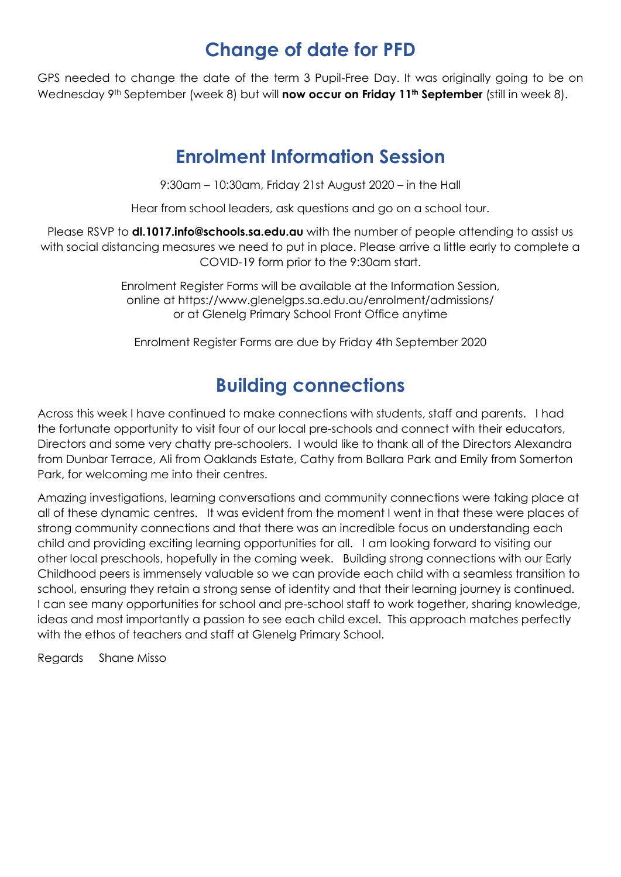## **Change of date for PFD**

GPS needed to change the date of the term 3 Pupil-Free Day. It was originally going to be on Wednesday 9th September (week 8) but will **now occur on Friday 11th September** (still in week 8).

## **Enrolment Information Session**

9:30am – 10:30am, Friday 21st August 2020 – in the Hall

Hear from school leaders, ask questions and go on a school tour.

Please RSVP to **[dl.1017.info@schools.sa.edu.au](mailto:dl.1017.info@schools.sa.edu.au)** with the number of people attending to assist us with social distancing measures we need to put in place. Please arrive a little early to complete a COVID-19 form prior to the 9:30am start.

> Enrolment Register Forms will be available at the Information Session, online at <https://www.glenelgps.sa.edu.au/enrolment/admissions/> or at Glenelg Primary School Front Office anytime

Enrolment Register Forms are due by Friday 4th September 2020

## **Building connections**

Across this week I have continued to make connections with students, staff and parents. I had the fortunate opportunity to visit four of our local pre-schools and connect with their educators, Directors and some very chatty pre-schoolers. I would like to thank all of the Directors Alexandra from Dunbar Terrace, Ali from Oaklands Estate, Cathy from Ballara Park and Emily from Somerton Park, for welcoming me into their centres.

Amazing investigations, learning conversations and community connections were taking place at all of these dynamic centres. It was evident from the moment I went in that these were places of strong community connections and that there was an incredible focus on understanding each child and providing exciting learning opportunities for all. I am looking forward to visiting our other local preschools, hopefully in the coming week. Building strong connections with our Early Childhood peers is immensely valuable so we can provide each child with a seamless transition to school, ensuring they retain a strong sense of identity and that their learning journey is continued. I can see many opportunities for school and pre-school staff to work together, sharing knowledge, ideas and most importantly a passion to see each child excel. This approach matches perfectly with the ethos of teachers and staff at Glenelg Primary School.

Regards Shane Misso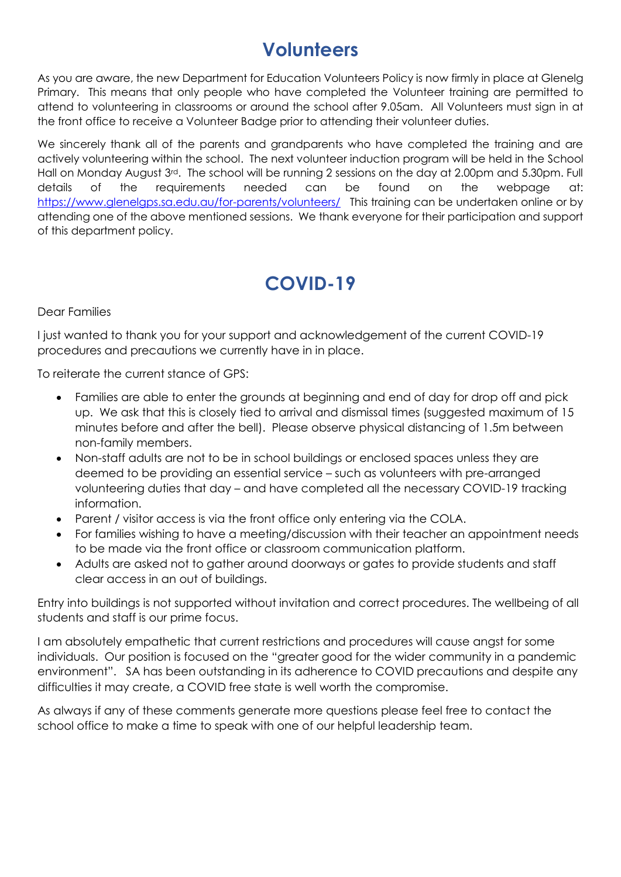## **Volunteers**

As you are aware, the new Department for Education Volunteers Policy is now firmly in place at Glenelg Primary. This means that only people who have completed the Volunteer training are permitted to attend to volunteering in classrooms or around the school after 9.05am. All Volunteers must sign in at the front office to receive a Volunteer Badge prior to attending their volunteer duties.

We sincerely thank all of the parents and grandparents who have completed the training and are actively volunteering within the school. The next volunteer induction program will be held in the School Hall on Monday August 3<sup>rd</sup>. The school will be running 2 sessions on the day at 2.00pm and 5.30pm. Full details of the requirements needed can be found on the webpage at: <https://www.glenelgps.sa.edu.au/for-parents/volunteers/>This training can be undertaken online or by attending one of the above mentioned sessions. We thank everyone for their participation and support of this department policy.

## **COVID-19**

Dear Families

I just wanted to thank you for your support and acknowledgement of the current COVID-19 procedures and precautions we currently have in in place.

To reiterate the current stance of GPS:

- Families are able to enter the grounds at beginning and end of day for drop off and pick up. We ask that this is closely tied to arrival and dismissal times (suggested maximum of 15 minutes before and after the bell). Please observe physical distancing of 1.5m between non-family members.
- Non-staff adults are not to be in school buildings or enclosed spaces unless they are deemed to be providing an essential service – such as volunteers with pre-arranged volunteering duties that day – and have completed all the necessary COVID-19 tracking information.
- Parent / visitor access is via the front office only entering via the COLA.
- For families wishing to have a meeting/discussion with their teacher an appointment needs to be made via the front office or classroom communication platform.
- Adults are asked not to gather around doorways or gates to provide students and staff clear access in an out of buildings.

Entry into buildings is not supported without invitation and correct procedures. The wellbeing of all students and staff is our prime focus.

I am absolutely empathetic that current restrictions and procedures will cause angst for some individuals. Our position is focused on the "greater good for the wider community in a pandemic environment". SA has been outstanding in its adherence to COVID precautions and despite any difficulties it may create, a COVID free state is well worth the compromise.

As always if any of these comments generate more questions please feel free to contact the school office to make a time to speak with one of our helpful leadership team.